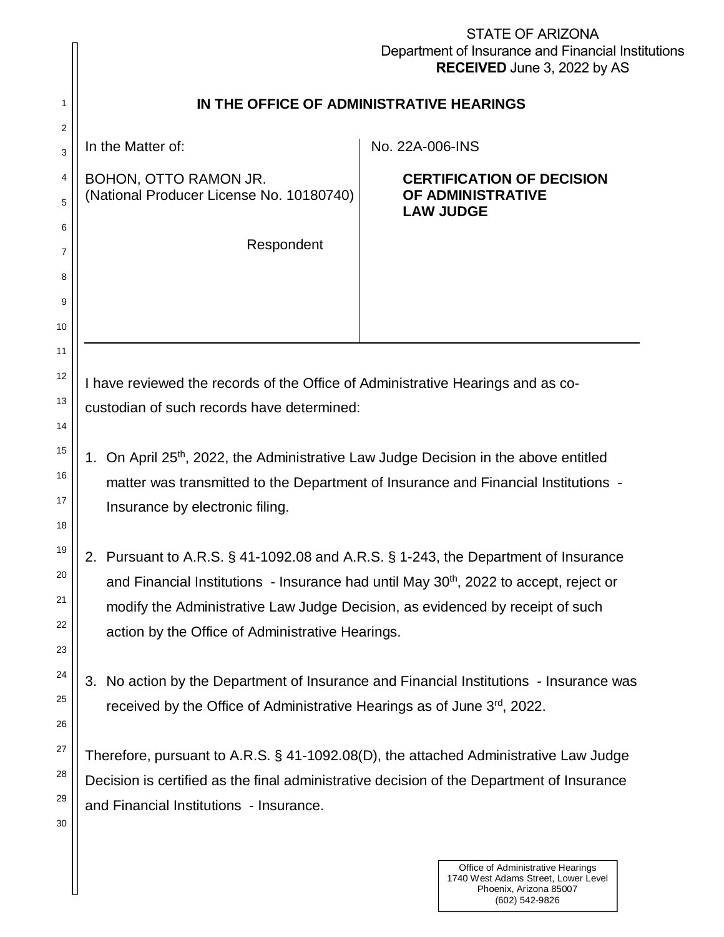|                            | <b>STATE OF ARIZONA</b><br>Department of Insurance and Financial Institutions<br><b>RECEIVED</b> June 3, 2022 by AS                                                                                                                                                                                                          |  |  |  |  |
|----------------------------|------------------------------------------------------------------------------------------------------------------------------------------------------------------------------------------------------------------------------------------------------------------------------------------------------------------------------|--|--|--|--|
| 1                          | IN THE OFFICE OF ADMINISTRATIVE HEARINGS                                                                                                                                                                                                                                                                                     |  |  |  |  |
| $\overline{2}$<br>3        | In the Matter of:<br>No. 22A-006-INS                                                                                                                                                                                                                                                                                         |  |  |  |  |
| 4<br>5                     | BOHON, OTTO RAMON JR.<br><b>CERTIFICATION OF DECISION</b><br>(National Producer License No. 10180740)<br>OF ADMINISTRATIVE<br><b>LAW JUDGE</b>                                                                                                                                                                               |  |  |  |  |
| 6<br>7<br>8<br>9           | Respondent                                                                                                                                                                                                                                                                                                                   |  |  |  |  |
|                            | 10<br>11<br>12<br>I have reviewed the records of the Office of Administrative Hearings and as co-<br>13<br>custodian of such records have determined:<br>14                                                                                                                                                                  |  |  |  |  |
| 15<br>16<br>17<br>18       | On April 25 <sup>th</sup> , 2022, the Administrative Law Judge Decision in the above entitled<br>1.<br>matter was transmitted to the Department of Insurance and Financial Institutions -<br>Insurance by electronic filing.                                                                                                 |  |  |  |  |
| 19<br>20<br>21<br>22<br>23 | 2. Pursuant to A.R.S. § 41-1092.08 and A.R.S. § 1-243, the Department of Insurance<br>and Financial Institutions - Insurance had until May 30 <sup>th</sup> , 2022 to accept, reject or<br>modify the Administrative Law Judge Decision, as evidenced by receipt of such<br>action by the Office of Administrative Hearings. |  |  |  |  |
| 24<br>25<br>26             | No action by the Department of Insurance and Financial Institutions - Insurance was<br>3.<br>received by the Office of Administrative Hearings as of June 3rd, 2022.                                                                                                                                                         |  |  |  |  |
| 27<br>28<br>29<br>30       | Therefore, pursuant to A.R.S. § 41-1092.08(D), the attached Administrative Law Judge<br>Decision is certified as the final administrative decision of the Department of Insurance<br>and Financial Institutions - Insurance.                                                                                                 |  |  |  |  |
|                            | Office of Administrative Hearings<br>1740 West Adams Street, Lower Level<br>Phoenix, Arizona 85007                                                                                                                                                                                                                           |  |  |  |  |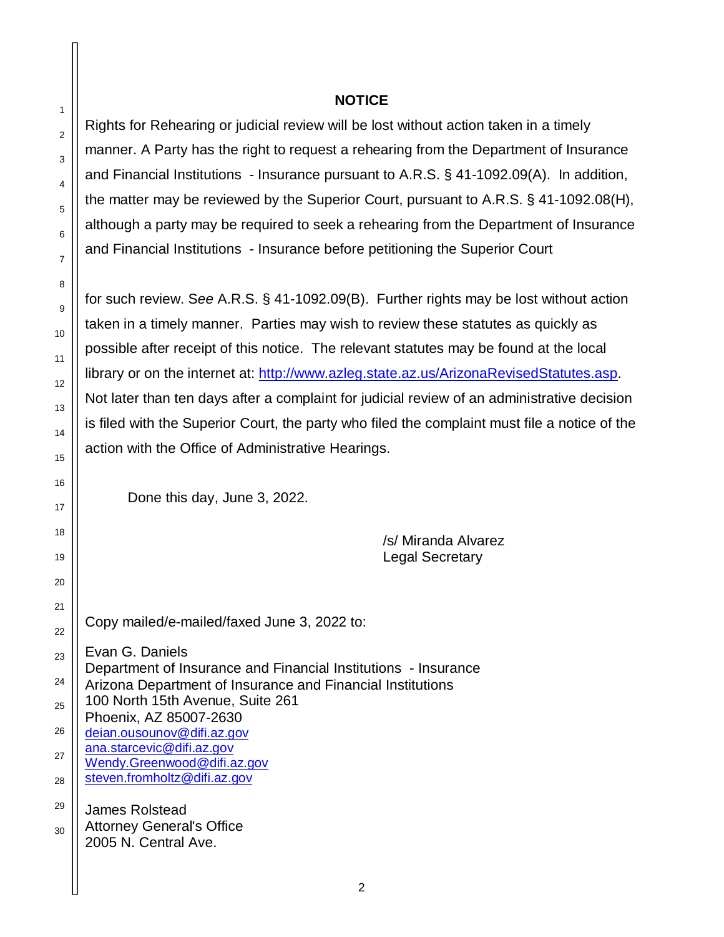## **NOTICE**

Rights for Rehearing or judicial review will be lost without action taken in a timely manner. A Party has the right to request a rehearing from the Department of Insurance and Financial Institutions - Insurance pursuant to A.R.S. § 41-1092.09(A). In addition, the matter may be reviewed by the Superior Court, pursuant to A.R.S. § 41-1092.08(H), although a party may be required to seek a rehearing from the Department of Insurance and Financial Institutions - Insurance before petitioning the Superior Court

for such review. S*ee* A.R.S. § 41-1092.09(B). Further rights may be lost without action taken in a timely manner. Parties may wish to review these statutes as quickly as possible after receipt of this notice. The relevant statutes may be found at the local library or on the internet at: <http://www.azleg.state.az.us/ArizonaRevisedStatutes.asp.> Not later than ten days after a complaint for judicial review of an administrative decision is filed with the Superior Court, the party who filed the complaint must file a notice of the action with the Office of Administrative Hearings.

Done this day, June 3, 2022.

1

2

3

4

5

6

7

8

9

10

11

12

13

14

15

16

17

18

19

20

21

22

23

24

25

26

27

28

29

/s/ Miranda Alvarez Legal Secretary

Copy mailed/e-mailed/faxed June 3, 2022 to:

Evan G. Daniels Department of Insurance and Financial Institutions - Insurance Arizona Department of Insurance and Financial Institutions 100 North 15th Avenue, Suite 261 Phoenix, AZ 85007-2630 [deian.ousounov@difi.az.gov](mailto:deian.ousounov@difi.az.gov) [ana.starcevic@difi.az.gov](mailto:ana.starcevic@difi.az.gov) [Wendy.Greenwood@difi.az.gov](mailto:Wendy.Greenwood@difi.az.gov) [steven.fromholtz@difi.az.gov](mailto:steven.fromholtz@difi.az.gov) James Rolstead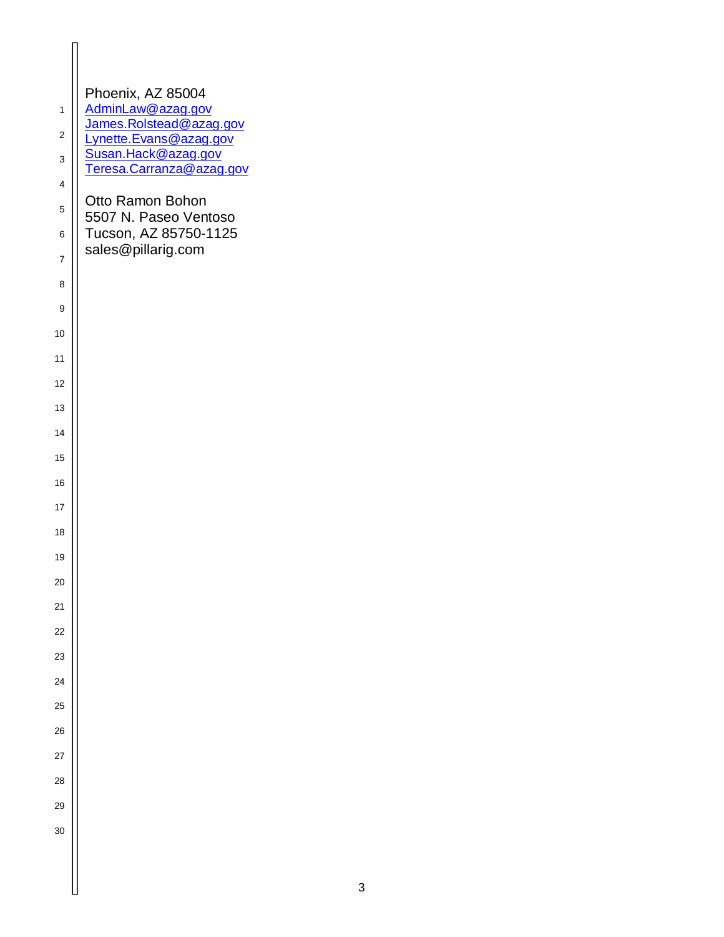| $\overline{1}$          | Phoenix, AZ 85004<br>AdminLaw@azag.gov            |
|-------------------------|---------------------------------------------------|
| $\overline{\mathbf{c}}$ | James.Rolstead@azag.gov<br>Lynette.Evans@azag.gov |
| 3                       | Susan.Hack@azag.gov<br>Teresa.Carranza@azag.gov   |
| $\overline{\mathbf{4}}$ |                                                   |
| 5                       | Otto Ramon Bohon<br>5507 N. Paseo Ventoso         |
| 6                       | Tucson, AZ 85750-1125                             |
| $\overline{7}$          | sales@pillarig.com                                |
| 8                       |                                                   |
| 9                       |                                                   |
| 10                      |                                                   |
| 11                      |                                                   |
| 12                      |                                                   |
| 13                      |                                                   |
| 14                      |                                                   |
| 15                      |                                                   |
| 16                      |                                                   |
| 17                      |                                                   |
| 18                      |                                                   |
| 19                      |                                                   |
| 20                      |                                                   |
| 21                      |                                                   |
| 22                      |                                                   |
| 23                      |                                                   |
| 24                      |                                                   |
| 25                      |                                                   |
| 26                      |                                                   |
| 27                      |                                                   |
| 28                      |                                                   |
| 29                      |                                                   |
| 30                      |                                                   |
|                         |                                                   |
|                         |                                                   |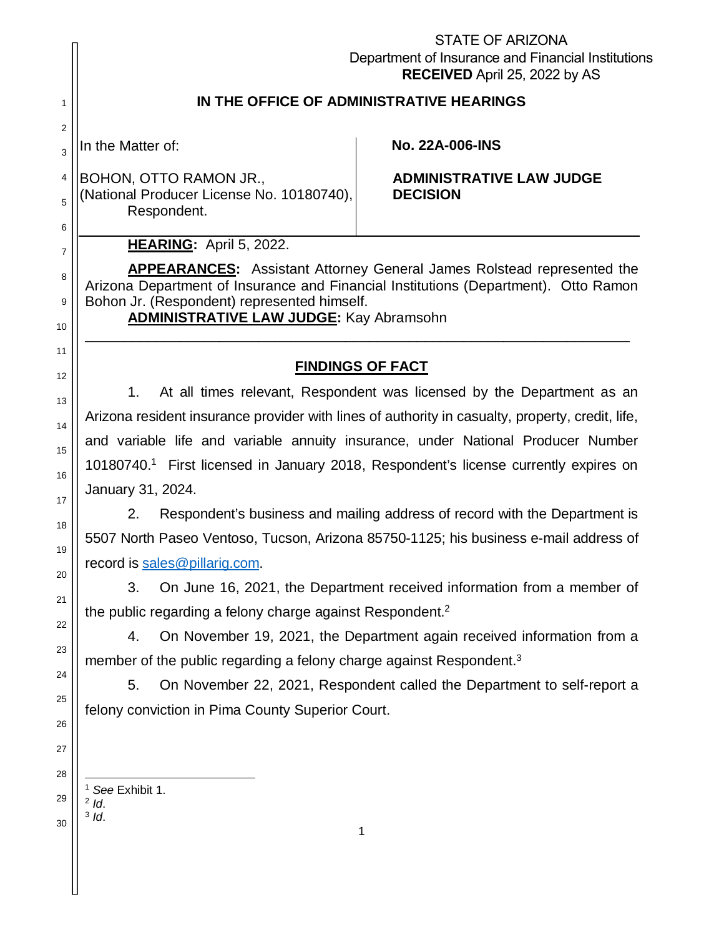|                                                                                                                                                                                                                                                                                                                                                                                                                                                                                                                                                                                                                                                                                                                                                                                                                                                                                                                                                                                                                                                                                                                                                  | <b>STATE OF ARIZONA</b><br>Department of Insurance and Financial Institutions<br>RECEIVED April 25, 2022 by AS                                                       |  |  |  |
|--------------------------------------------------------------------------------------------------------------------------------------------------------------------------------------------------------------------------------------------------------------------------------------------------------------------------------------------------------------------------------------------------------------------------------------------------------------------------------------------------------------------------------------------------------------------------------------------------------------------------------------------------------------------------------------------------------------------------------------------------------------------------------------------------------------------------------------------------------------------------------------------------------------------------------------------------------------------------------------------------------------------------------------------------------------------------------------------------------------------------------------------------|----------------------------------------------------------------------------------------------------------------------------------------------------------------------|--|--|--|
| IN THE OFFICE OF ADMINISTRATIVE HEARINGS                                                                                                                                                                                                                                                                                                                                                                                                                                                                                                                                                                                                                                                                                                                                                                                                                                                                                                                                                                                                                                                                                                         |                                                                                                                                                                      |  |  |  |
| In the Matter of:                                                                                                                                                                                                                                                                                                                                                                                                                                                                                                                                                                                                                                                                                                                                                                                                                                                                                                                                                                                                                                                                                                                                | <b>No. 22A-006-INS</b>                                                                                                                                               |  |  |  |
| BOHON, OTTO RAMON JR.,<br>(National Producer License No. 10180740),<br>Respondent.                                                                                                                                                                                                                                                                                                                                                                                                                                                                                                                                                                                                                                                                                                                                                                                                                                                                                                                                                                                                                                                               | <b>ADMINISTRATIVE LAW JUDGE</b><br><b>DECISION</b>                                                                                                                   |  |  |  |
| HEARING: April 5, 2022.                                                                                                                                                                                                                                                                                                                                                                                                                                                                                                                                                                                                                                                                                                                                                                                                                                                                                                                                                                                                                                                                                                                          |                                                                                                                                                                      |  |  |  |
| Bohon Jr. (Respondent) represented himself.<br><b>ADMINISTRATIVE LAW JUDGE:</b> Kay Abramsohn                                                                                                                                                                                                                                                                                                                                                                                                                                                                                                                                                                                                                                                                                                                                                                                                                                                                                                                                                                                                                                                    | <b>APPEARANCES:</b> Assistant Attorney General James Rolstead represented the<br>Arizona Department of Insurance and Financial Institutions (Department). Otto Ramon |  |  |  |
|                                                                                                                                                                                                                                                                                                                                                                                                                                                                                                                                                                                                                                                                                                                                                                                                                                                                                                                                                                                                                                                                                                                                                  |                                                                                                                                                                      |  |  |  |
| <b>FINDINGS OF FACT</b><br>12<br>At all times relevant, Respondent was licensed by the Department as an<br>1.<br>13<br>Arizona resident insurance provider with lines of authority in casualty, property, credit, life,<br>14<br>and variable life and variable annuity insurance, under National Producer Number<br>10180740. <sup>1</sup> First licensed in January 2018, Respondent's license currently expires on<br>16<br>January 31, 2024.<br>2.<br>Respondent's business and mailing address of record with the Department is<br>5507 North Paseo Ventoso, Tucson, Arizona 85750-1125; his business e-mail address of<br>19<br>record is sales@pillarig.com.<br>On June 16, 2021, the Department received information from a member of<br>3.<br>the public regarding a felony charge against Respondent. <sup>2</sup><br>On November 19, 2021, the Department again received information from a<br>4.<br>member of the public regarding a felony charge against Respondent. <sup>3</sup><br>24<br>On November 22, 2021, Respondent called the Department to self-report a<br>5.<br>felony conviction in Pima County Superior Court.<br>26 |                                                                                                                                                                      |  |  |  |
| See Exhibit 1.<br>$2$ Id.<br>$3$ Id.                                                                                                                                                                                                                                                                                                                                                                                                                                                                                                                                                                                                                                                                                                                                                                                                                                                                                                                                                                                                                                                                                                             | 1                                                                                                                                                                    |  |  |  |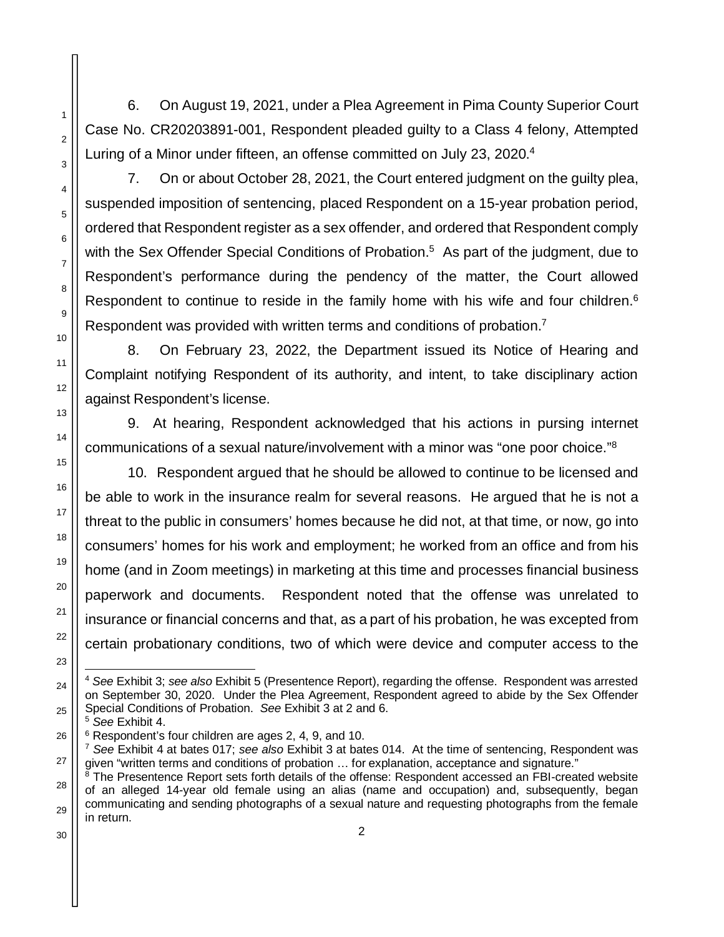6. On August 19, 2021, under a Plea Agreement in Pima County Superior Court Case No. CR20203891-001, Respondent pleaded guilty to a Class 4 felony, Attempted Luring of a Minor under fifteen, an offense committed on July 23, 2020.<sup>4</sup>

7. On or about October 28, 2021, the Court entered judgment on the guilty plea, suspended imposition of sentencing, placed Respondent on a 15-year probation period, ordered that Respondent register as a sex offender, and ordered that Respondent comply with the Sex Offender Special Conditions of Probation.<sup>5</sup> As part of the judgment, due to Respondent's performance during the pendency of the matter, the Court allowed Respondent to continue to reside in the family home with his wife and four children.<sup>6</sup> Respondent was provided with written terms and conditions of probation.<sup>7</sup>

8. On February 23, 2022, the Department issued its Notice of Hearing and Complaint notifying Respondent of its authority, and intent, to take disciplinary action against Respondent's license.

9. At hearing, Respondent acknowledged that his actions in pursing internet communications of a sexual nature/involvement with a minor was "one poor choice."<sup>8</sup>

10. Respondent argued that he should be allowed to continue to be licensed and be able to work in the insurance realm for several reasons. He argued that he is not a threat to the public in consumers' homes because he did not, at that time, or now, go into consumers' homes for his work and employment; he worked from an office and from his home (and in Zoom meetings) in marketing at this time and processes financial business paperwork and documents. Respondent noted that the offense was unrelated to insurance or financial concerns and that, as a part of his probation, he was excepted from certain probationary conditions, two of which were device and computer access to the

<sup>5</sup> *See* Exhibit 4.

<sup>4</sup> *See* Exhibit 3; *see also* Exhibit 5 (Presentence Report), regarding the offense. Respondent was arrested on September 30, 2020. Under the Plea Agreement, Respondent agreed to abide by the Sex Offender Special Conditions of Probation. *See* Exhibit 3 at 2 and 6.

<sup>6</sup> Respondent's four children are ages 2, 4, 9, and 10.

<sup>7</sup> *See* Exhibit 4 at bates 017; *see also* Exhibit 3 at bates 014. At the time of sentencing, Respondent was given "written terms and conditions of probation … for explanation, acceptance and signature."

 $8$  The Presentence Report sets forth details of the offense: Respondent accessed an FBI-created website of an alleged 14-year old female using an alias (name and occupation) and, subsequently, began communicating and sending photographs of a sexual nature and requesting photographs from the female in return.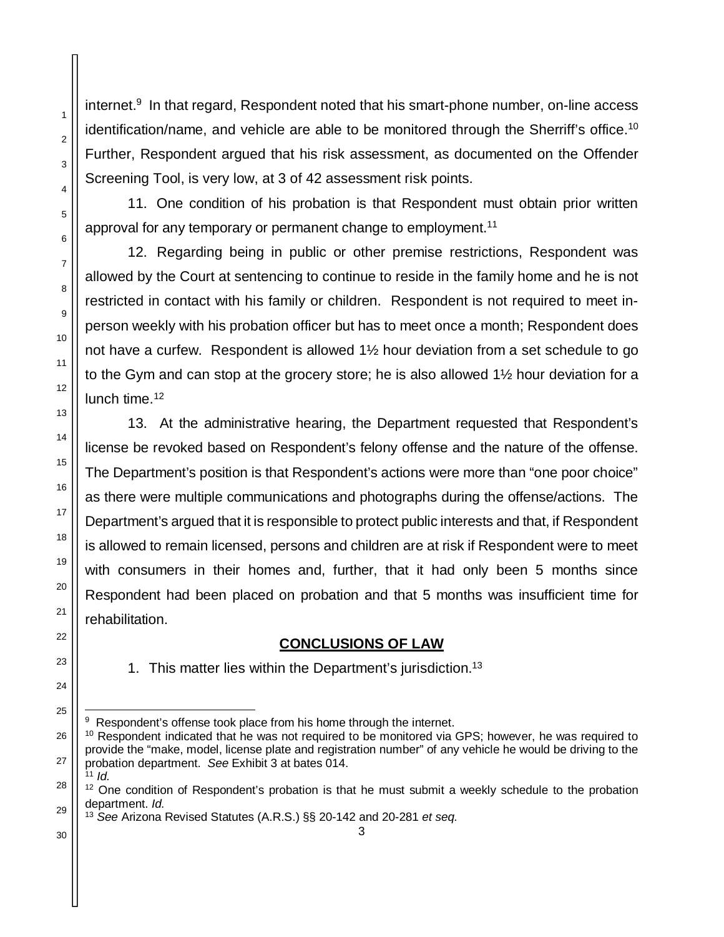internet.<sup>9</sup> In that regard, Respondent noted that his smart-phone number, on-line access identification/name, and vehicle are able to be monitored through the Sherriff's office.<sup>10</sup> Further, Respondent argued that his risk assessment, as documented on the Offender Screening Tool, is very low, at 3 of 42 assessment risk points.

11. One condition of his probation is that Respondent must obtain prior written approval for any temporary or permanent change to employment.<sup>11</sup>

12. Regarding being in public or other premise restrictions, Respondent was allowed by the Court at sentencing to continue to reside in the family home and he is not restricted in contact with his family or children. Respondent is not required to meet inperson weekly with his probation officer but has to meet once a month; Respondent does not have a curfew. Respondent is allowed 1½ hour deviation from a set schedule to go to the Gym and can stop at the grocery store; he is also allowed 1½ hour deviation for a lunch time.<sup>12</sup>

13. At the administrative hearing, the Department requested that Respondent's license be revoked based on Respondent's felony offense and the nature of the offense. The Department's position is that Respondent's actions were more than "one poor choice" as there were multiple communications and photographs during the offense/actions. The Department's argued that it is responsible to protect public interests and that, if Respondent is allowed to remain licensed, persons and children are at risk if Respondent were to meet with consumers in their homes and, further, that it had only been 5 months since Respondent had been placed on probation and that 5 months was insufficient time for rehabilitation.

## **CONCLUSIONS OF LAW**

1. This matter lies within the Department's jurisdiction.<sup>13</sup>

1

2

3

4

5

6

7

8

9

10

11

12

13

<sup>&</sup>lt;sup>9</sup> Respondent's offense took place from his home through the internet.

<sup>&</sup>lt;sup>10</sup> Respondent indicated that he was not required to be monitored via GPS; however, he was required to provide the "make, model, license plate and registration number" of any vehicle he would be driving to the probation department. *See* Exhibit 3 at bates 014. <sup>11</sup> *Id.*

<sup>&</sup>lt;sup>12</sup> One condition of Respondent's probation is that he must submit a weekly schedule to the probation department. *Id.*

<sup>3</sup> <sup>13</sup> *See* Arizona Revised Statutes (A.R.S.) §§ 20-142 and 20-281 *et seq.*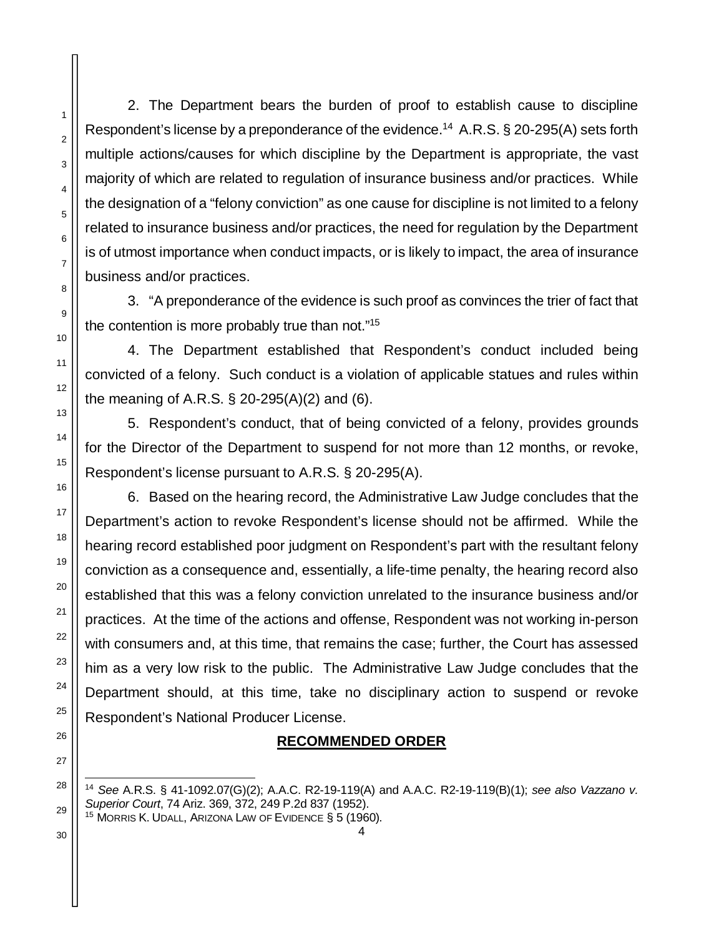2. The Department bears the burden of proof to establish cause to discipline Respondent's license by a preponderance of the evidence.<sup>14</sup> A.R.S.  $\S$  20-295(A) sets forth multiple actions/causes for which discipline by the Department is appropriate, the vast majority of which are related to regulation of insurance business and/or practices. While the designation of a "felony conviction" as one cause for discipline is not limited to a felony related to insurance business and/or practices, the need for regulation by the Department is of utmost importance when conduct impacts, or is likely to impact, the area of insurance business and/or practices.

3. "A preponderance of the evidence is such proof as convinces the trier of fact that the contention is more probably true than not."<sup>15</sup>

4. The Department established that Respondent's conduct included being convicted of a felony. Such conduct is a violation of applicable statues and rules within the meaning of A.R.S. § 20-295(A)(2) and (6).

5. Respondent's conduct, that of being convicted of a felony, provides grounds for the Director of the Department to suspend for not more than 12 months, or revoke, Respondent's license pursuant to A.R.S. § 20-295(A).

6. Based on the hearing record, the Administrative Law Judge concludes that the Department's action to revoke Respondent's license should not be affirmed. While the hearing record established poor judgment on Respondent's part with the resultant felony conviction as a consequence and, essentially, a life-time penalty, the hearing record also established that this was a felony conviction unrelated to the insurance business and/or practices. At the time of the actions and offense, Respondent was not working in-person with consumers and, at this time, that remains the case; further, the Court has assessed him as a very low risk to the public. The Administrative Law Judge concludes that the Department should, at this time, take no disciplinary action to suspend or revoke Respondent's National Producer License.

## **RECOMMENDED ORDER**

<sup>14</sup> *See* A.R.S. § 41-1092.07(G)(2); A.A.C. R2-19-119(A) and A.A.C. R2-19-119(B)(1); *see also Vazzano v. Superior Court*, 74 Ariz. 369, 372, 249 P.2d 837 (1952).

<sup>15</sup> MORRIS K. UDALL, ARIZONA LAW OF EVIDENCE § 5 (1960).